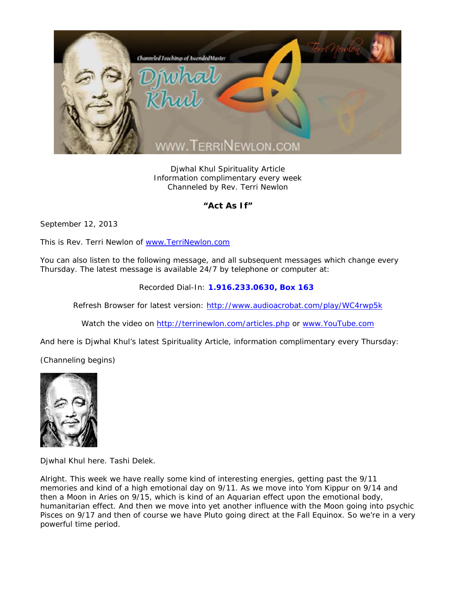

Djwhal Khul Spirituality Article Information complimentary every week Channeled by Rev. Terri Newlon

## **"Act As If"**

September 12, 2013

This is Rev. Terri Newlon of www.TerriNewlon.com

You can also listen to the following message, and all subsequent messages which change every Thursday. The latest message is available 24/7 by telephone or computer at:

Recorded Dial-In: **1.916.233.0630, Box 163** 

Refresh Browser for latest version: http://www.audioacrobat.com/play/WC4rwp5k

Watch the video on http://terrinewlon.com/articles.php or www.YouTube.com

And here is Djwhal Khul's latest Spirituality Article, information complimentary every Thursday:

(Channeling begins)



Djwhal Khul here. Tashi Delek.

Alright. This week we have really some kind of interesting energies, getting past the 9/11 memories and kind of a high emotional day on 9/11. As we move into Yom Kippur on 9/14 and then a Moon in Aries on 9/15, which is kind of an Aquarian effect upon the emotional body, humanitarian effect. And then we move into yet another influence with the Moon going into psychic Pisces on 9/17 and then of course we have Pluto going direct at the Fall Equinox. So we're in a very powerful time period.